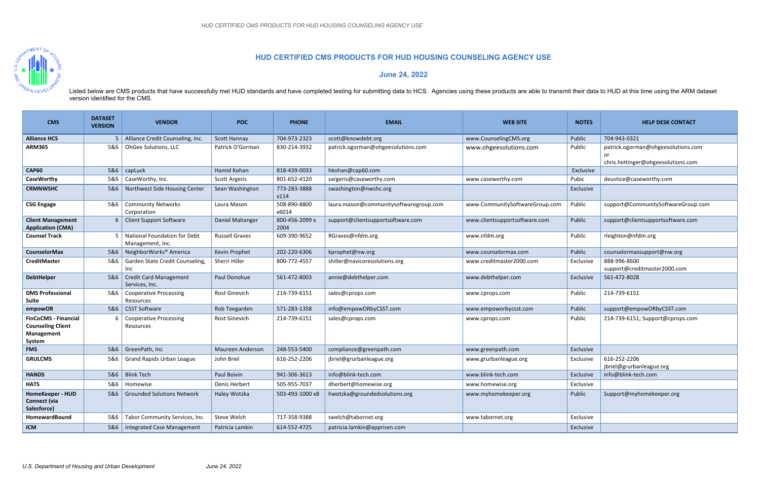

## **HUD CERTIFIED CMS PRODUCTS FOR HUD HOUSING COUNSELING AGENCY USE**

**June 24, 2022** 

Listed below are CMS products that have successfully met HUD standards and have completed testing for submitting data to HCS. Agencies using these products are able to transmit their data to HUD at this time using the ARM version identified for the CMS.

| <b>CMS</b>                                                    | <b>DATASET</b><br><b>VERSION</b> | <b>VENDOR</b>                                    | <b>POC</b>            | <b>PHONE</b>           | <b>EMAIL</b>                           | <b>WEB SITE</b>                | <b>NOTES</b> | <b>HELP DESK CONTACT</b>                     |
|---------------------------------------------------------------|----------------------------------|--------------------------------------------------|-----------------------|------------------------|----------------------------------------|--------------------------------|--------------|----------------------------------------------|
| <b>Alliance HCS</b>                                           | 5                                | Alliance Credit Counseling, Inc.                 | <b>Scott Hannay</b>   | 704-973-2323           | scott@knowdebt.org                     | www.CounselingCMS.org          | Public       | 704-943-0321                                 |
| <b>ARM365</b>                                                 | 5&6                              | OhGee Solutions, LLC                             | Patrick O'Gorman      | 830-214-3932           | patrick.ogorman@ohgeesolutions.com     | www.ohgeesolutions.com         | Public       | patrick.ogorman@ohgeesolutions.com           |
|                                                               |                                  |                                                  |                       |                        |                                        |                                |              | or<br>chris.hettinger@ohgeesolutions.com     |
| <b>CAP60</b>                                                  | 5&6                              | capLuck                                          | Hamid Kohan           | 818-439-0033           | hkohan@cap60.com                       |                                | Exclusive    |                                              |
| <b>CaseWorthy</b>                                             | 5&6                              | CaseWorthy, Inc.                                 | <b>Scott Argeris</b>  | 801-652-4120           | sargeris@caseworthy.com                | www.caseworthy.com             | Pubic        | deustice@caseworthy.com                      |
| <b>CRMNWSHC</b>                                               | 5&6                              | Northwest Side Housing Center                    | Sean Washington       | 773-283-3888<br>x114   | swashington@nwshc.org                  |                                | Exclusive    |                                              |
| <b>CSG Engage</b>                                             | 5&6                              | <b>Community Networks</b><br>Corporation         | Laura Mason           | 508-890-8800<br>x6014  | laura.mason@communitysoftwaregroup.com | www.CommunitySoftwareGroup.com | Public       | support@CommunitySoftwareGroup.com           |
| <b>Client Management</b><br><b>Application (CMA)</b>          | 6 <sup>1</sup>                   | <b>Client Support Software</b>                   | Daniel Mahanger       | 800-456-2099 x<br>2004 | support@clientsupportsoftware.com      | www.clientsupportsoftware.com  | Public       | support@clientsupportsoftware.com            |
| <b>Counsel Track</b>                                          | .5                               | National Foundation for Debt<br>Management, Inc. | <b>Russell Graves</b> | 609-390-9652           | RGraves@nfdm.org                       | www.nfdm.org                   | Public       | rleighton@nfdm.org                           |
| <b>CounselorMax</b>                                           | 586                              | NeighborWorks <sup>®</sup> America               | Kevin Prophet         | 202-220-6306           | kprophet@nw.org                        | www.counselormax.com           | Public       | counselormaxsupport@nw.org                   |
| <b>CreditMaster</b>                                           | 5&6                              | Garden State Credit Counseling,<br>Inc           | Sherri Hiller         | 800-772-4557           | shiller@navicoresolutions.org          | www.creditmaster2000.com       | Exclusive    | 888-996-8600<br>support@creditmaster2000.com |
| <b>DebtHelper</b>                                             | 5&6                              | <b>Credit Card Management</b><br>Services, Inc.  | Paul Donohue          | 561-472-8003           | annie@debthelper.com                   | www.debthelper.com             | Exclusive    | 561-472-8028                                 |
| <b>DMS Professional</b><br>Suite                              | 5&6                              | <b>Cooperative Processing</b><br>Resources       | Rost Ginevich         | 214-739-6151           | sales@cprops.com                       | www.cprops.com                 | Public       | 214-739-6151                                 |
| empowOR                                                       | 5&6                              | <b>CSST Software</b>                             | Rob Teegarden         | 571-283-1358           | info@empowORbyCSST.com                 | www.empoworbycsst.com          | Public       | support@empowORbyCSST.com                    |
| <b>FinCoCMS - Financial</b><br><b>Counseling Client</b>       | 6                                | <b>Cooperative Processing</b><br>Resources       | Rost Ginevich         | 214-739-6151           | sales@cprops.com                       | www.cprops.com                 | Public       | 214-739-6151; Support@cprops.com             |
| <b>Management</b><br>System                                   |                                  |                                                  |                       |                        |                                        |                                |              |                                              |
| <b>FMS</b>                                                    | 5&6                              | GreenPath, Inc                                   | Maureen Anderson      | 248-553-5400           | compliance@greenpath.com               | www.greenpath.com              | Exclusive    |                                              |
| <b>GRULCMS</b>                                                | 5&6                              | <b>Grand Rapids Urban League</b>                 | John Briel            | 616-252-2206           | jbriel@grurbanleague.org               | www.grurbanleague.org          | Exclusive    | 616-252-2206<br>jbriel@grurbanleague.org     |
| <b>HANDS</b>                                                  | 5&6                              | <b>Blink Tech</b>                                | Paul Boivin           | 941-306-3613           | info@blink-tech.com                    | www.blink-tech.com             | Exclusive    | info@blink-tech.com                          |
| <b>HATS</b>                                                   | 5&6                              | Homewise                                         | Denis Herbert         | 505-955-7037           | dherbert@homewise.org                  | www.homewise.org               | Exclusive    |                                              |
| <b>HomeKeeper - HUD</b><br><b>Connect (via</b><br>Salesforce) | 5&6                              | <b>Grounded Solutions Network</b>                | Haley Wotzka          | 503-493-1000 x8        | hwotzka@groundedsolutions.org          | www.myhomekeeper.org           | Public       | Support@myhomekeeper.org                     |
| <b>HomewardBound</b>                                          | 5&6                              | Tabor Community Services, Inc.                   | Steve Welch           | 717-358-9388           | swelch@tabornet.org                    | www.tabornet.org               | Exclusive    |                                              |
| <b>ICM</b>                                                    | 5&6                              | Integrated Case Management                       | Patricia Lamkin       | 614-552-4725           | patricia.lamkin@apprisen.com           |                                | Exclusive    |                                              |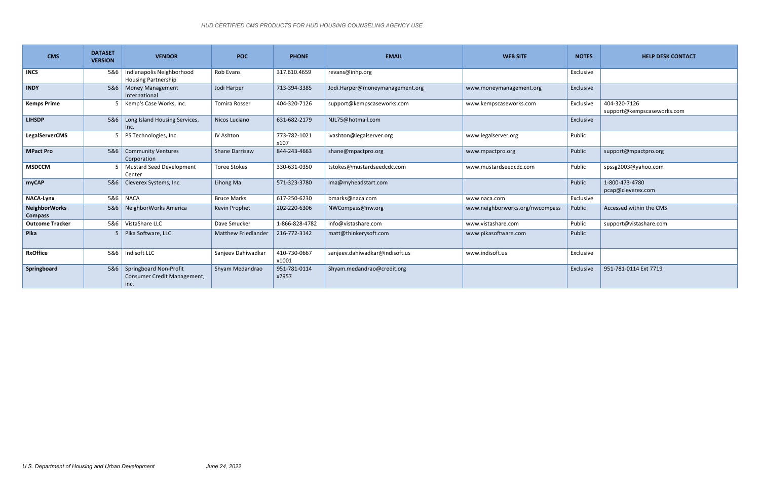| <b>CMS</b>                             | <b>DATASET</b><br><b>VERSION</b> | <b>VENDOR</b>                                                 | <b>POC</b>                 | <b>PHONE</b>          | <b>EMAIL</b>                    | <b>WEB SITE</b>                 | <b>NOTES</b> | <b>HELP DESK CONTACT</b>                   |
|----------------------------------------|----------------------------------|---------------------------------------------------------------|----------------------------|-----------------------|---------------------------------|---------------------------------|--------------|--------------------------------------------|
| <b>INCS</b>                            | 5&6                              | Indianapolis Neighborhood<br><b>Housing Partnership</b>       | Rob Evans                  | 317.610.4659          | revans@inhp.org                 |                                 | Exclusive    |                                            |
| <b>INDY</b>                            | 5&6                              | <b>Money Management</b><br>International                      | Jodi Harper                | 713-394-3385          | Jodi.Harper@moneymanagement.org | www.moneymanagement.org         | Exclusive    |                                            |
| <b>Kemps Prime</b>                     |                                  | Kemp's Case Works, Inc.                                       | <b>Tomira Rosser</b>       | 404-320-7126          | support@kempscaseworks.com      | www.kempscaseworks.com          | Exclusive    | 404-320-7126<br>support@kempscaseworks.com |
| <b>LIHSDP</b>                          | 586                              | Long Island Housing Services,<br>Inc.                         | Nicos Luciano              | 631-682-2179          | NJL75@hotmail.com               |                                 | Exclusive    |                                            |
| <b>LegalServerCMS</b>                  |                                  | PS Technologies, Inc                                          | IV Ashton                  | 773-782-1021<br>x107  | ivashton@legalserver.org        | www.legalserver.org             | Public       |                                            |
| <b>MPact Pro</b>                       | 5&6                              | <b>Community Ventures</b><br>Corporation                      | <b>Shane Darrisaw</b>      | 844-243-4663          | shane@mpactpro.org              | www.mpactpro.org                | Public       | support@mpactpro.org                       |
| <b>MSDCCM</b>                          |                                  | <b>Mustard Seed Development</b><br>Center                     | <b>Toree Stokes</b>        | 330-631-0350          | tstokes@mustardseedcdc.com      | www.mustardseedcdc.com          | Public       | spssg2003@yahoo.com                        |
| myCAP                                  | 5&6                              | Cleverex Systems, Inc.                                        | Lihong Ma                  | 571-323-3780          | Ima@myheadstart.com             |                                 | Public       | 1-800-473-4780<br>pcap@cleverex.com        |
| <b>NACA-Lynx</b>                       | 586                              | <b>NACA</b>                                                   | <b>Bruce Marks</b>         | 617-250-6230          | bmarks@naca.com                 | www.naca.com                    | Exclusive    |                                            |
| <b>NeighborWorks</b><br><b>Compass</b> | 5&6                              | NeighborWorks America                                         | Kevin Prophet              | 202-220-6306          | NWCompass@nw.org                | www.neighborworks.org/nwcompass | Public       | Accessed within the CMS                    |
| <b>Outcome Tracker</b>                 | 5&6                              | VistaShare LLC                                                | Dave Smucker               | 1-866-828-4782        | info@vistashare.com             | www.vistashare.com              | Public       | support@vistashare.com                     |
| Pika                                   |                                  | Pika Software, LLC.                                           | <b>Matthew Friedlander</b> | 216-772-3142          | matt@thinkerysoft.com           | www.pikasoftware.com            | Public       |                                            |
| <b>RxOffice</b>                        |                                  | 5&6   Indisoft LLC                                            | Sanjeev Dahiwadkar         | 410-730-0667<br>x1001 | sanjeev.dahiwadkar@indisoft.us  | www.indisoft.us                 | Exclusive    |                                            |
| Springboard                            | 5&6                              | Springboard Non-Profit<br>Consumer Credit Management,<br>inc. | Shyam Medandrao            | 951-781-0114<br>x7957 | Shyam.medandrao@credit.org      |                                 | Exclusive    | 951-781-0114 Ext 7719                      |